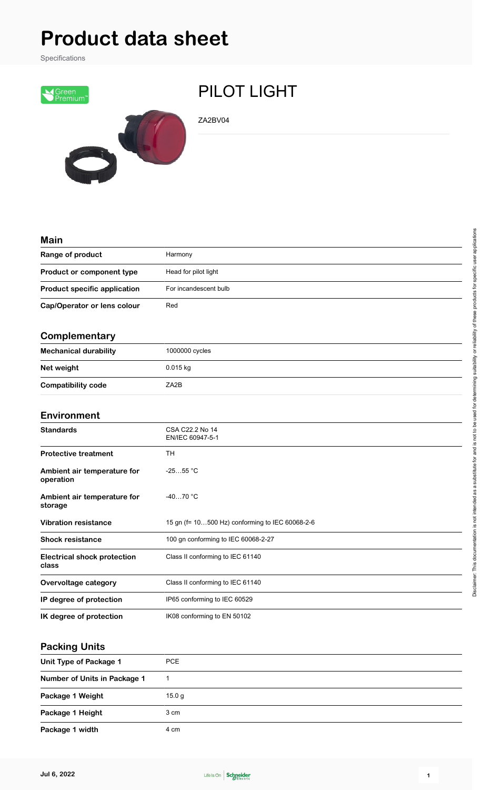# **Product data sheet**

Specifications



## PILOT LIGHT

ZA2BV04

| <b>Main</b>                                 |                                                 |
|---------------------------------------------|-------------------------------------------------|
| Range of product                            | Harmony                                         |
| Product or component type                   | Head for pilot light                            |
| <b>Product specific application</b>         | For incandescent bulb                           |
| Cap/Operator or lens colour                 | Red                                             |
| Complementary                               |                                                 |
| <b>Mechanical durability</b>                | 1000000 cycles                                  |
| Net weight                                  | $0.015$ kg                                      |
| <b>Compatibility code</b>                   | ZA2B                                            |
| <b>Environment</b>                          |                                                 |
| <b>Standards</b>                            | CSA C22.2 No 14<br>EN/IEC 60947-5-1             |
| <b>Protective treatment</b>                 | TН                                              |
| Ambient air temperature for<br>operation    | $-2555 °C$                                      |
| Ambient air temperature for<br>storage      | $-4070 °C$                                      |
| <b>Vibration resistance</b>                 | 15 gn (f= 10500 Hz) conforming to IEC 60068-2-6 |
| <b>Shock resistance</b>                     | 100 gn conforming to IEC 60068-2-27             |
| <b>Electrical shock protection</b><br>class | Class II conforming to IEC 61140                |
| Overvoltage category                        | Class II conforming to IEC 61140                |
| IP degree of protection                     | IP65 conforming to IEC 60529                    |
| IK degree of protection                     | IK08 conforming to EN 50102                     |

#### **Packing Units**

| Unit Type of Package 1       | <b>PCE</b> |
|------------------------------|------------|
| Number of Units in Package 1 |            |
| Package 1 Weight             | 15.0 g     |
| Package 1 Height             | 3 cm       |
| Package 1 width              | 4 cm       |